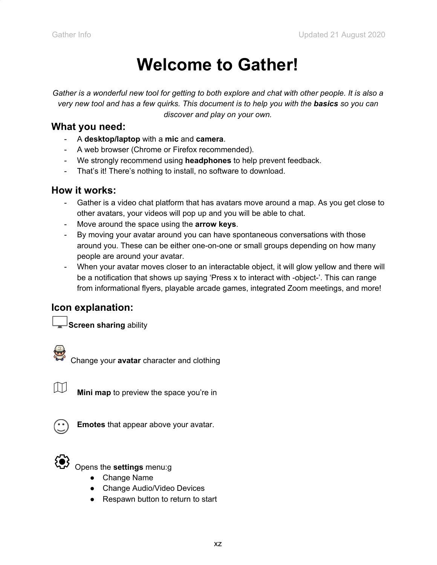# **Welcome to Gather!**

Gather is a wonderful new tool for getting to both explore and chat with other people. It is also a very new tool and has a few quirks. This document is to help you with the basics so you can *discover and play on your own.*

#### **What you need:**

- A **desktop/laptop** with a **mic** and **camera**.
- A web browser (Chrome or Firefox recommended).
- We strongly recommend using **headphones** to help prevent feedback.
- That's it! There's nothing to install, no software to download.

## **How it works:**

- Gather is a video chat platform that has avatars move around a map. As you get close to other avatars, your videos will pop up and you will be able to chat.
- Move around the space using the **arrow keys**.
- By moving your avatar around you can have spontaneous conversations with those around you. These can be either one-on-one or small groups depending on how many people are around your avatar.
- When your avatar moves closer to an interactable object, it will glow yellow and there will be a notification that shows up saying 'Press x to interact with -object-'. This can range from informational flyers, playable arcade games, integrated Zoom meetings, and more!

# **Icon explanation:**

**Screen sharing** ability



Change your **avatar** character and clothing



**Mini map** to preview the space you're in



**Emotes** that appear above your avatar.



Opens the **settings** menu:g

- Change Name
- Change Audio/Video Devices
- Respawn button to return to start